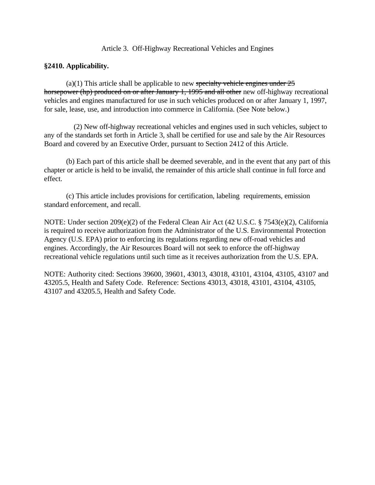Article 3. Off-Highway Recreational Vehicles and Engines

# **§2410. Applicability.**

(a)(1) This article shall be applicable to new specialty vehicle engines under  $25$ horsepower (hp) produced on or after January 1, 1995 and all other new off-highway recreational vehicles and engines manufactured for use in such vehicles produced on or after January 1, 1997, for sale, lease, use, and introduction into commerce in California. (See Note below.)

 (2) New off-highway recreational vehicles and engines used in such vehicles, subject to any of the standards set forth in Article 3, shall be certified for use and sale by the Air Resources Board and covered by an Executive Order, pursuant to Section 2412 of this Article.

(b) Each part of this article shall be deemed severable, and in the event that any part of this chapter or article is held to be invalid, the remainder of this article shall continue in full force and effect.

(c) This article includes provisions for certification, labeling requirements, emission standard enforcement, and recall.

NOTE: Under section 209(e)(2) of the Federal Clean Air Act (42 U.S.C. § 7543(e)(2), California is required to receive authorization from the Administrator of the U.S. Environmental Protection Agency (U.S. EPA) prior to enforcing its regulations regarding new off-road vehicles and engines. Accordingly, the Air Resources Board will not seek to enforce the off-highway recreational vehicle regulations until such time as it receives authorization from the U.S. EPA.

NOTE: Authority cited: Sections 39600, 39601, 43013, 43018, 43101, 43104, 43105, 43107 and 43205.5, Health and Safety Code. Reference: Sections 43013, 43018, 43101, 43104, 43105, 43107 and 43205.5, Health and Safety Code.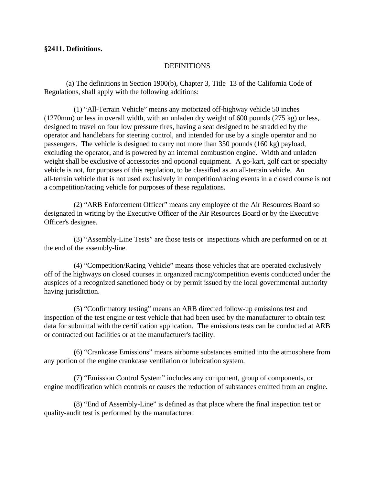## **§2411. Definitions.**

## **DEFINITIONS**

(a) The definitions in Section 1900(b), Chapter 3, Title 13 of the California Code of Regulations, shall apply with the following additions:

 (1) "All-Terrain Vehicle" means any motorized off-highway vehicle 50 inches (1270mm) or less in overall width, with an unladen dry weight of 600 pounds (275 kg) or less, designed to travel on four low pressure tires, having a seat designed to be straddled by the operator and handlebars for steering control, and intended for use by a single operator and no passengers. The vehicle is designed to carry not more than 350 pounds (160 kg) payload, excluding the operator, and is powered by an internal combustion engine. Width and unladen weight shall be exclusive of accessories and optional equipment. A go-kart, golf cart or specialty vehicle is not, for purposes of this regulation, to be classified as an all-terrain vehicle. An all-terrain vehicle that is not used exclusively in competition/racing events in a closed course is not a competition/racing vehicle for purposes of these regulations.

 (2) "ARB Enforcement Officer" means any employee of the Air Resources Board so designated in writing by the Executive Officer of the Air Resources Board or by the Executive Officer's designee.

 (3) "Assembly-Line Tests" are those tests or inspections which are performed on or at the end of the assembly-line.

 (4) "Competition/Racing Vehicle" means those vehicles that are operated exclusively off of the highways on closed courses in organized racing/competition events conducted under the auspices of a recognized sanctioned body or by permit issued by the local governmental authority having jurisdiction.

 (5) "Confirmatory testing" means an ARB directed follow-up emissions test and inspection of the test engine or test vehicle that had been used by the manufacturer to obtain test data for submittal with the certification application. The emissions tests can be conducted at ARB or contracted out facilities or at the manufacturer's facility.

 (6) "Crankcase Emissions" means airborne substances emitted into the atmosphere from any portion of the engine crankcase ventilation or lubrication system.

 (7) "Emission Control System" includes any component, group of components, or engine modification which controls or causes the reduction of substances emitted from an engine.

 (8) "End of Assembly-Line" is defined as that place where the final inspection test or quality-audit test is performed by the manufacturer.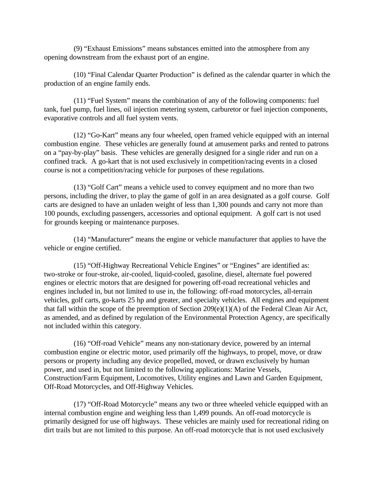(9) "Exhaust Emissions" means substances emitted into the atmosphere from any opening downstream from the exhaust port of an engine.

 (10) "Final Calendar Quarter Production" is defined as the calendar quarter in which the production of an engine family ends.

 (11) "Fuel System" means the combination of any of the following components: fuel tank, fuel pump, fuel lines, oil injection metering system, carburetor or fuel injection components, evaporative controls and all fuel system vents.

 (12) "Go-Kart" means any four wheeled, open framed vehicle equipped with an internal combustion engine. These vehicles are generally found at amusement parks and rented to patrons on a "pay-by-play" basis. These vehicles are generally designed for a single rider and run on a confined track. A go-kart that is not used exclusively in competition/racing events in a closed course is not a competition/racing vehicle for purposes of these regulations.

 (13) "Golf Cart" means a vehicle used to convey equipment and no more than two persons, including the driver, to play the game of golf in an area designated as a golf course. Golf carts are designed to have an unladen weight of less than 1,300 pounds and carry not more than 100 pounds, excluding passengers, accessories and optional equipment. A golf cart is not used for grounds keeping or maintenance purposes.

 (14) "Manufacturer" means the engine or vehicle manufacturer that applies to have the vehicle or engine certified.

 (15) "Off-Highway Recreational Vehicle Engines" or "Engines" are identified as: two-stroke or four-stroke, air-cooled, liquid-cooled, gasoline, diesel, alternate fuel powered engines or electric motors that are designed for powering off-road recreational vehicles and engines included in, but not limited to use in, the following: off-road motorcycles, all-terrain vehicles, golf carts, go-karts 25 hp and greater, and specialty vehicles. All engines and equipment that fall within the scope of the preemption of Section 209(e)(1)(A) of the Federal Clean Air Act, as amended, and as defined by regulation of the Environmental Protection Agency, are specifically not included within this category.

 (16) "Off-road Vehicle" means any non-stationary device, powered by an internal combustion engine or electric motor, used primarily off the highways, to propel, move, or draw persons or property including any device propelled, moved, or drawn exclusively by human power, and used in, but not limited to the following applications: Marine Vessels, Construction/Farm Equipment, Locomotives, Utility engines and Lawn and Garden Equipment, Off-Road Motorcycles, and Off-Highway Vehicles.

 (17) "Off-Road Motorcycle" means any two or three wheeled vehicle equipped with an internal combustion engine and weighing less than 1,499 pounds. An off-road motorcycle is primarily designed for use off highways. These vehicles are mainly used for recreational riding on dirt trails but are not limited to this purpose. An off-road motorcycle that is not used exclusively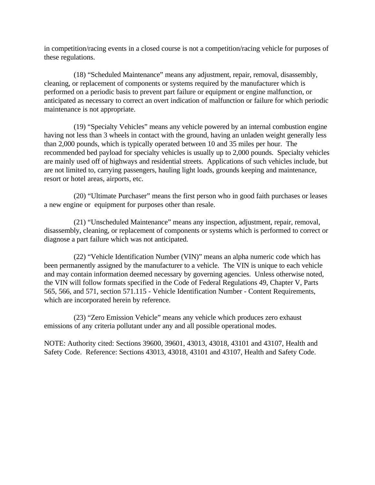in competition/racing events in a closed course is not a competition/racing vehicle for purposes of these regulations.

 (18) "Scheduled Maintenance" means any adjustment, repair, removal, disassembly, cleaning, or replacement of components or systems required by the manufacturer which is performed on a periodic basis to prevent part failure or equipment or engine malfunction, or anticipated as necessary to correct an overt indication of malfunction or failure for which periodic maintenance is not appropriate.

 (19) "Specialty Vehicles" means any vehicle powered by an internal combustion engine having not less than 3 wheels in contact with the ground, having an unladen weight generally less than 2,000 pounds, which is typically operated between 10 and 35 miles per hour. The recommended bed payload for specialty vehicles is usually up to 2,000 pounds. Specialty vehicles are mainly used off of highways and residential streets. Applications of such vehicles include, but are not limited to, carrying passengers, hauling light loads, grounds keeping and maintenance, resort or hotel areas, airports, etc.

 (20) "Ultimate Purchaser" means the first person who in good faith purchases or leases a new engine or equipment for purposes other than resale.

 (21) "Unscheduled Maintenance" means any inspection, adjustment, repair, removal, disassembly, cleaning, or replacement of components or systems which is performed to correct or diagnose a part failure which was not anticipated.

 (22) "Vehicle Identification Number (VIN)" means an alpha numeric code which has been permanently assigned by the manufacturer to a vehicle. The VIN is unique to each vehicle and may contain information deemed necessary by governing agencies. Unless otherwise noted, the VIN will follow formats specified in the Code of Federal Regulations 49, Chapter V, Parts 565, 566, and 571, section 571.115 - Vehicle Identification Number - Content Requirements, which are incorporated herein by reference.

 (23) "Zero Emission Vehicle" means any vehicle which produces zero exhaust emissions of any criteria pollutant under any and all possible operational modes.

NOTE: Authority cited: Sections 39600, 39601, 43013, 43018, 43101 and 43107, Health and Safety Code. Reference: Sections 43013, 43018, 43101 and 43107, Health and Safety Code.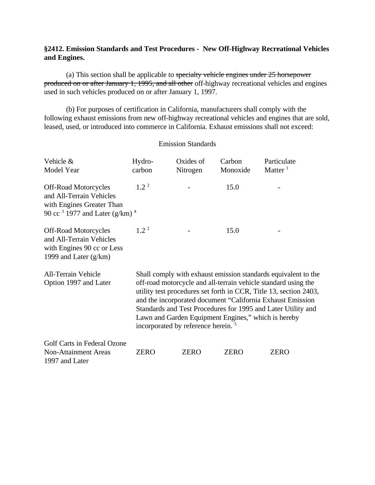# **§2412. Emission Standards and Test Procedures - New Off-Highway Recreational Vehicles and Engines.**

(a) This section shall be applicable to specialty vehicle engines under 25 horsepower produced on or after January 1, 1995, and all other off-highway recreational vehicles and engines used in such vehicles produced on or after January 1, 1997.

(b) For purposes of certification in California, manufacturers shall comply with the following exhaust emissions from new off-highway recreational vehicles and engines that are sold, leased, used, or introduced into commerce in California. Exhaust emissions shall not exceed:

Emission Standards

| Vehicle &<br>Model Year                                                                                                                       | Hydro-<br>carbon                                                                                                                                                                                                                                                                                                                                                                                                                             | Oxides of<br>Nitrogen | Carbon<br>Monoxide | Particulate<br>Matter $1$ |  |
|-----------------------------------------------------------------------------------------------------------------------------------------------|----------------------------------------------------------------------------------------------------------------------------------------------------------------------------------------------------------------------------------------------------------------------------------------------------------------------------------------------------------------------------------------------------------------------------------------------|-----------------------|--------------------|---------------------------|--|
| <b>Off-Road Motorcycles</b><br>and All-Terrain Vehicles<br>with Engines Greater Than<br>90 cc <sup>3</sup> 1977 and Later (g/km) <sup>4</sup> | $1.2^2$                                                                                                                                                                                                                                                                                                                                                                                                                                      |                       | 15.0               |                           |  |
| <b>Off-Road Motorcycles</b><br>and All-Terrain Vehicles<br>with Engines 90 cc or Less<br>1999 and Later $(g/km)$                              | $1.2^2$                                                                                                                                                                                                                                                                                                                                                                                                                                      |                       | 15.0               |                           |  |
| <b>All-Terrain Vehicle</b><br>Option 1997 and Later                                                                                           | Shall comply with exhaust emission standards equivalent to the<br>off-road motorcycle and all-terrain vehicle standard using the<br>utility test procedures set forth in CCR, Title 13, section 2403,<br>and the incorporated document "California Exhaust Emission<br>Standards and Test Procedures for 1995 and Later Utility and<br>Lawn and Garden Equipment Engines," which is hereby<br>incorporated by reference herein. <sup>5</sup> |                       |                    |                           |  |
| Golf Carts in Federal Ozone<br><b>Non-Attainment Areas</b><br>1997 and Later                                                                  | ZERO                                                                                                                                                                                                                                                                                                                                                                                                                                         | <b>ZERO</b>           | <b>ZERO</b>        | <b>ZERO</b>               |  |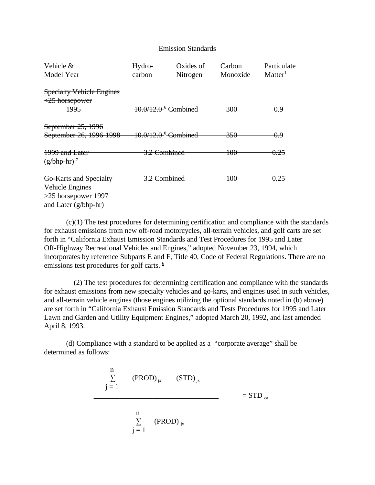#### Emission Standards

| Vehicle &<br>Model Year                                                                      | Hydro-<br>carbon                | Oxides of<br>Nitrogen | Carbon<br>Monoxide | Particulate<br>Matter <sup>1</sup> |
|----------------------------------------------------------------------------------------------|---------------------------------|-----------------------|--------------------|------------------------------------|
| <b>Specialty Vehicle Engines</b><br>$\leq$ 25 horsepower<br><del>1995</del>                  | 10.0/12.0 <sup>6</sup> Combined |                       | <del>300</del>     | 0.9                                |
| September 25, 1996<br>September 26, 1996-1998 10.0/12.0 <sup>5</sup> Combined                |                                 |                       | 350                | 0.9                                |
| <del>1999 and Later</del><br>$\left(\frac{g}{b}h\right)-h\right)^7$                          | <del>3.2 Combined</del>         |                       | 100                | 0.25                               |
| Go-Karts and Specialty<br>Vehicle Engines<br>$>25$ horsepower 1997<br>and Later $(g/bhp-hr)$ | 3.2 Combined                    |                       | 100                | 0.25                               |

(c)(1) The test procedures for determining certification and compliance with the standards for exhaust emissions from new off-road motorcycles, all-terrain vehicles, and golf carts are set forth in "California Exhaust Emission Standards and Test Procedures for 1995 and Later Off-Highway Recreational Vehicles and Engines," adopted November 23, 1994, which incorporates by reference Subparts E and F, Title 40, Code of Federal Regulations. There are no emissions test procedures for golf carts.  $6$ 

 (2) The test procedures for determining certification and compliance with the standards for exhaust emissions from new specialty vehicles and go-karts, and engines used in such vehicles, and all-terrain vehicle engines (those engines utilizing the optional standards noted in (b) above) are set forth in "California Exhaust Emission Standards and Tests Procedures for 1995 and Later Lawn and Garden and Utility Equipment Engines," adopted March 20, 1992, and last amended April 8, 1993.

(d) Compliance with a standard to be applied as a "corporate average" shall be determined as follows:

$$
\frac{n}{j=1}
$$
 (PROD)<sub>jk</sub> (STD)<sub>jk</sub> = STD<sub>ca</sub>  

$$
\frac{n}{j=1}
$$
 (PROD)<sub>jk</sub>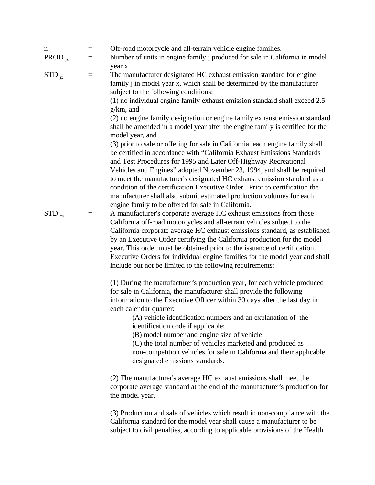| n<br>PROD $_{jx}$ | $\equiv$<br>$\equiv$ | Off-road motorcycle and all-terrain vehicle engine families.<br>Number of units in engine family <i>j</i> produced for sale in California in model                                                                                                                                                                                                                                                                                                                                                                                                                                    |
|-------------------|----------------------|---------------------------------------------------------------------------------------------------------------------------------------------------------------------------------------------------------------------------------------------------------------------------------------------------------------------------------------------------------------------------------------------------------------------------------------------------------------------------------------------------------------------------------------------------------------------------------------|
| $STD_{i}$         | $\!\!\!=\!\!\!$      | year x.<br>The manufacturer designated HC exhaust emission standard for engine<br>family j in model year x, which shall be determined by the manufacturer<br>subject to the following conditions:<br>(1) no individual engine family exhaust emission standard shall exceed 2.5<br>$g/km$ , and                                                                                                                                                                                                                                                                                       |
|                   |                      | (2) no engine family designation or engine family exhaust emission standard<br>shall be amended in a model year after the engine family is certified for the<br>model year, and<br>(3) prior to sale or offering for sale in California, each engine family shall                                                                                                                                                                                                                                                                                                                     |
|                   |                      | be certified in accordance with "California Exhaust Emissions Standards"<br>and Test Procedures for 1995 and Later Off-Highway Recreational<br>Vehicles and Engines" adopted November 23, 1994, and shall be required<br>to meet the manufacturer's designated HC exhaust emission standard as a<br>condition of the certification Executive Order. Prior to certification the<br>manufacturer shall also submit estimated production volumes for each<br>engine family to be offered for sale in California.                                                                         |
| $STD_{ca}$        | $\equiv$             | A manufacturer's corporate average HC exhaust emissions from those<br>California off-road motorcycles and all-terrain vehicles subject to the<br>California corporate average HC exhaust emissions standard, as established<br>by an Executive Order certifying the California production for the model<br>year. This order must be obtained prior to the issuance of certification<br>Executive Orders for individual engine families for the model year and shall<br>include but not be limited to the following requirements:                                                      |
|                   |                      | (1) During the manufacturer's production year, for each vehicle produced<br>for sale in California, the manufacturer shall provide the following<br>information to the Executive Officer within 30 days after the last day in<br>each calendar quarter:<br>(A) vehicle identification numbers and an explanation of the<br>identification code if applicable;<br>(B) model number and engine size of vehicle;<br>(C) the total number of vehicles marketed and produced as<br>non-competition vehicles for sale in California and their applicable<br>designated emissions standards. |
|                   |                      | (2) The manufacturer's average HC exhaust emissions shall meet the<br>corporate average standard at the end of the manufacturer's production for<br>the model year.                                                                                                                                                                                                                                                                                                                                                                                                                   |
|                   |                      | (3) Production and sale of vehicles which result in non-compliance with the<br>California standard for the model year shall cause a manufacturer to be<br>subject to civil penalties, according to applicable provisions of the Health                                                                                                                                                                                                                                                                                                                                                |
|                   |                      |                                                                                                                                                                                                                                                                                                                                                                                                                                                                                                                                                                                       |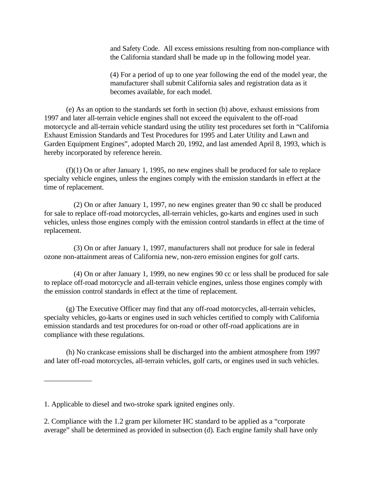and Safety Code. All excess emissions resulting from non-compliance with the California standard shall be made up in the following model year.

(4) For a period of up to one year following the end of the model year, the manufacturer shall submit California sales and registration data as it becomes available, for each model.

(e) As an option to the standards set forth in section (b) above, exhaust emissions from 1997 and later all-terrain vehicle engines shall not exceed the equivalent to the off-road motorcycle and all-terrain vehicle standard using the utility test procedures set forth in "California Exhaust Emission Standards and Test Procedures for 1995 and Later Utility and Lawn and Garden Equipment Engines", adopted March 20, 1992, and last amended April 8, 1993, which is hereby incorporated by reference herein.

(f)(1) On or after January 1, 1995, no new engines shall be produced for sale to replace specialty vehicle engines, unless the engines comply with the emission standards in effect at the time of replacement.

 (2) On or after January 1, 1997, no new engines greater than 90 cc shall be produced for sale to replace off-road motorcycles, all-terrain vehicles, go-karts and engines used in such vehicles, unless those engines comply with the emission control standards in effect at the time of replacement.

(3) On or after January 1, 1997, manufacturers shall not produce for sale in federal ozone non-attainment areas of California new, non-zero emission engines for golf carts.

 (4) On or after January 1, 1999, no new engines 90 cc or less shall be produced for sale to replace off-road motorcycle and all-terrain vehicle engines, unless those engines comply with the emission control standards in effect at the time of replacement.

(g) The Executive Officer may find that any off-road motorcycles, all-terrain vehicles, specialty vehicles, go-karts or engines used in such vehicles certified to comply with California emission standards and test procedures for on-road or other off-road applications are in compliance with these regulations.

(h) No crankcase emissions shall be discharged into the ambient atmosphere from 1997 and later off-road motorcycles, all-terrain vehicles, golf carts, or engines used in such vehicles.

\_\_\_\_\_\_\_\_\_\_\_\_\_

<sup>1.</sup> Applicable to diesel and two-stroke spark ignited engines only.

<sup>2.</sup> Compliance with the 1.2 gram per kilometer HC standard to be applied as a "corporate average" shall be determined as provided in subsection (d). Each engine family shall have only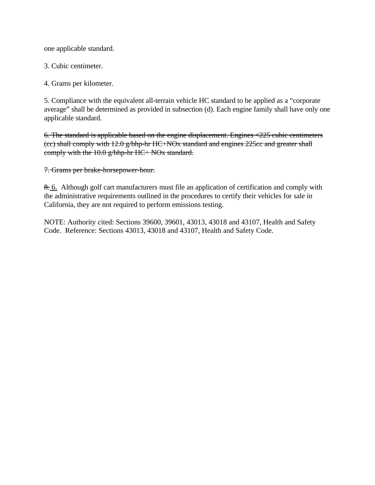one applicable standard.

3. Cubic centimeter.

4. Grams per kilometer.

5. Compliance with the equivalent all-terrain vehicle HC standard to be applied as a "corporate average" shall be determined as provided in subsection (d). Each engine family shall have only one applicable standard.

6. The standard is applicable based on the engine displacement. Engines  $\langle 225 \rangle$  cubic centimeters (cc) shall comply with 12.0 g/bhp-hr HC+NOx standard and engines 225cc and greater shall comply with the 10.0 g/bhp-hr HC+ NOx standard.

7. Grams per brake-horsepower-hour.

8. 6. Although golf cart manufacturers must file an application of certification and comply with the administrative requirements outlined in the procedures to certify their vehicles for sale in California, they are not required to perform emissions testing.

NOTE: Authority cited: Sections 39600, 39601, 43013, 43018 and 43107, Health and Safety Code. Reference: Sections 43013, 43018 and 43107, Health and Safety Code.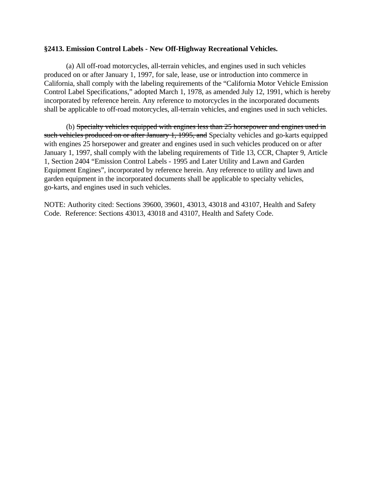## **§2413. Emission Control Labels - New Off-Highway Recreational Vehicles.**

(a) All off-road motorcycles, all-terrain vehicles, and engines used in such vehicles produced on or after January 1, 1997, for sale, lease, use or introduction into commerce in California, shall comply with the labeling requirements of the "California Motor Vehicle Emission Control Label Specifications," adopted March 1, 1978, as amended July 12, 1991, which is hereby incorporated by reference herein. Any reference to motorcycles in the incorporated documents shall be applicable to off-road motorcycles, all-terrain vehicles, and engines used in such vehicles.

(b) Specialty vehicles equipped with engines less than 25 horsepower and engines used in such vehicles produced on or after January 1, 1995, and Specialty vehicles and go-karts equipped with engines 25 horsepower and greater and engines used in such vehicles produced on or after January 1, 1997, shall comply with the labeling requirements of Title 13, CCR, Chapter 9, Article 1, Section 2404 "Emission Control Labels - 1995 and Later Utility and Lawn and Garden Equipment Engines", incorporated by reference herein. Any reference to utility and lawn and garden equipment in the incorporated documents shall be applicable to specialty vehicles, go-karts, and engines used in such vehicles.

NOTE: Authority cited: Sections 39600, 39601, 43013, 43018 and 43107, Health and Safety Code. Reference: Sections 43013, 43018 and 43107, Health and Safety Code.